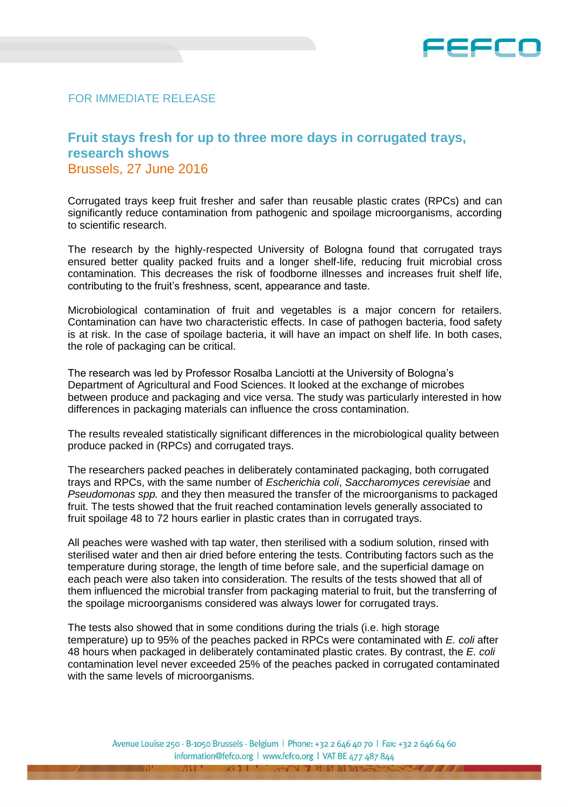

## FOR IMMEDIATE RELEASE

## **Fruit stays fresh for up to three more days in corrugated trays, research shows** Brussels, 27 June 2016

Corrugated trays keep fruit fresher and safer than reusable plastic crates (RPCs) and can significantly reduce contamination from pathogenic and spoilage microorganisms, according to scientific research.

The research by the highly-respected University of Bologna found that corrugated trays ensured better quality packed fruits and a longer shelf-life, reducing fruit microbial cross contamination. This decreases the risk of foodborne illnesses and increases fruit shelf life, contributing to the fruit's freshness, scent, appearance and taste.

Microbiological contamination of fruit and vegetables is a major concern for retailers. Contamination can have two characteristic effects. In case of pathogen bacteria, food safety is at risk. In the case of spoilage bacteria, it will have an impact on shelf life. In both cases, the role of packaging can be critical.

The research was led by Professor Rosalba Lanciotti at the University of Bologna's Department of Agricultural and Food Sciences. It looked at the exchange of microbes between produce and packaging and vice versa. The study was particularly interested in how differences in packaging materials can influence the cross contamination.

The results revealed statistically significant differences in the microbiological quality between produce packed in (RPCs) and corrugated trays.

The researchers packed peaches in deliberately contaminated packaging, both corrugated trays and RPCs, with the same number of *Escherichia coli*, *Saccharomyces cerevisiae* and *Pseudomonas spp.* and they then measured the transfer of the microorganisms to packaged fruit. The tests showed that the fruit reached contamination levels generally associated to fruit spoilage 48 to 72 hours earlier in plastic crates than in corrugated trays.

All peaches were washed with tap water, then sterilised with a sodium solution, rinsed with sterilised water and then air dried before entering the tests. Contributing factors such as the temperature during storage, the length of time before sale, and the superficial damage on each peach were also taken into consideration. The results of the tests showed that all of them influenced the microbial transfer from packaging material to fruit, but the transferring of the spoilage microorganisms considered was always lower for corrugated trays.

The tests also showed that in some conditions during the trials (i.e. high storage temperature) up to 95% of the peaches packed in RPCs were contaminated with *E. coli* after 48 hours when packaged in deliberately contaminated plastic crates. By contrast, the *E. coli* contamination level never exceeded 25% of the peaches packed in corrugated contaminated with the same levels of microorganisms.

> Avenue Louise 250 - B-1050 Brussels - Belgium | Phone: +32 2 646 40 70 | Fax: +32 2 646 64 60 information@fefco.org | www.fefco.org | VAT BE 477 487 844

> > 7333 7

 $7311$